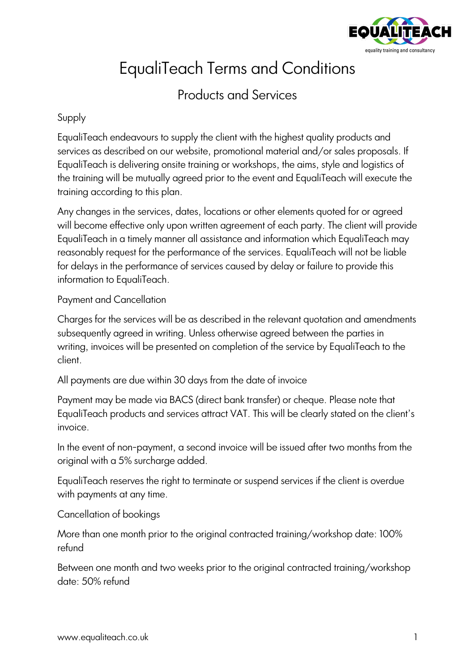

# EqualiTeach Terms and Conditions

# Products and Services

# Supply

EqualiTeach endeavours to supply the client with the highest quality products and services as described on our website, promotional material and/or sales proposals. If EqualiTeach is delivering onsite training or workshops, the aims, style and logistics of the training will be mutually agreed prior to the event and EqualiTeach will execute the training according to this plan.

Any changes in the services, dates, locations or other elements quoted for or agreed will become effective only upon written agreement of each party. The client will provide EqualiTeach in a timely manner all assistance and information which EqualiTeach may reasonably request for the performance of the services. EqualiTeach will not be liable for delays in the performance of services caused by delay or failure to provide this information to EqualiTeach.

# Payment and Cancellation

Charges for the services will be as described in the relevant quotation and amendments subsequently agreed in writing. Unless otherwise agreed between the parties in writing, invoices will be presented on completion of the service by EqualiTeach to the client.

All payments are due within 30 days from the date of invoice

Payment may be made via BACS (direct bank transfer) or cheque. Please note that EqualiTeach products and services attract VAT. This will be clearly stated on the client's invoice.

In the event of non-payment, a second invoice will be issued after two months from the original with a 5% surcharge added.

EqualiTeach reserves the right to terminate or suspend services if the client is overdue with payments at any time.

Cancellation of bookings

More than one month prior to the original contracted training/workshop date: 100% refund

Between one month and two weeks prior to the original contracted training/workshop date: 50% refund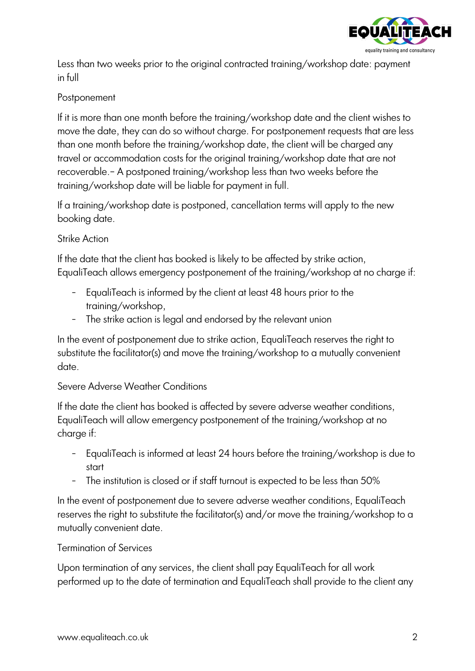

Less than two weeks prior to the original contracted training/workshop date: payment in full

# **Postponement**

If it is more than one month before the training/workshop date and the client wishes to move the date, they can do so without charge. For postponement requests that are less than one month before the training/workshop date, the client will be charged any travel or accommodation costs for the original training/workshop date that are not recoverable.– A postponed training/workshop less than two weeks before the training/workshop date will be liable for payment in full.

If a training/workshop date is postponed, cancellation terms will apply to the new booking date.

#### Strike Action

If the date that the client has booked is likely to be affected by strike action, EqualiTeach allows emergency postponement of the training/workshop at no charge if:

- EqualiTeach is informed by the client at least 48 hours prior to the training/workshop,
- The strike action is legal and endorsed by the relevant union

In the event of postponement due to strike action, EqualiTeach reserves the right to substitute the facilitator(s) and move the training/workshop to a mutually convenient date.

#### Severe Adverse Weather Conditions

If the date the client has booked is affected by severe adverse weather conditions, EqualiTeach will allow emergency postponement of the training/workshop at no charge if:

- EqualiTeach is informed at least 24 hours before the training/workshop is due to start
- The institution is closed or if staff turnout is expected to be less than 50%

In the event of postponement due to severe adverse weather conditions, EqualiTeach reserves the right to substitute the facilitator(s) and/or move the training/workshop to a mutually convenient date.

# Termination of Services

Upon termination of any services, the client shall pay EqualiTeach for all work performed up to the date of termination and EqualiTeach shall provide to the client any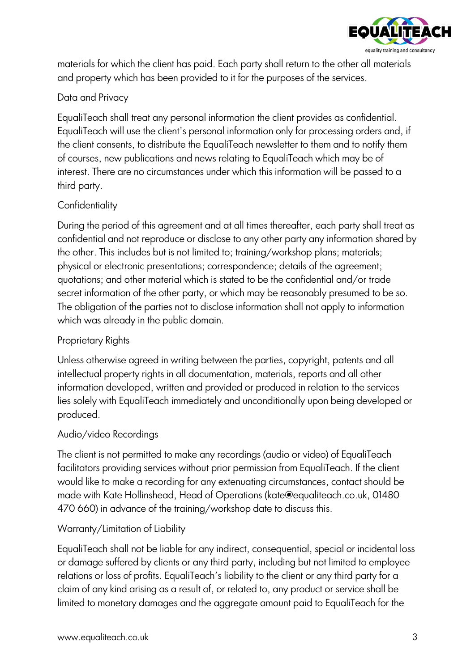

materials for which the client has paid. Each party shall return to the other all materials and property which has been provided to it for the purposes of the services.

# Data and Privacy

EqualiTeach shall treat any personal information the client provides as confidential. EqualiTeach will use the client's personal information only for processing orders and, if the client consents, to distribute the EqualiTeach newsletter to them and to notify them of courses, new publications and news relating to EqualiTeach which may be of interest. There are no circumstances under which this information will be passed to a third party.

# **Confidentiality**

During the period of this agreement and at all times thereafter, each party shall treat as confidential and not reproduce or disclose to any other party any information shared by the other. This includes but is not limited to; training/workshop plans; materials; physical or electronic presentations; correspondence; details of the agreement; quotations; and other material which is stated to be the confidential and/or trade secret information of the other party, or which may be reasonably presumed to be so. The obligation of the parties not to disclose information shall not apply to information which was already in the public domain.

# Proprietary Rights

Unless otherwise agreed in writing between the parties, copyright, patents and all intellectual property rights in all documentation, materials, reports and all other information developed, written and provided or produced in relation to the services lies solely with EqualiTeach immediately and unconditionally upon being developed or produced.

# Audio/video Recordings

The client is not permitted to make any recordings (audio or video) of EqualiTeach facilitators providing services without prior permission from EqualiTeach. If the client would like to make a recording for any extenuating circumstances, contact should be made with Kate Hollinshead, Head of Operations (kate@equaliteach.co.uk, 01480 470 660) in advance of the training/workshop date to discuss this.

# Warranty/Limitation of Liability

EqualiTeach shall not be liable for any indirect, consequential, special or incidental loss or damage suffered by clients or any third party, including but not limited to employee relations or loss of profits. EqualiTeach's liability to the client or any third party for a claim of any kind arising as a result of, or related to, any product or service shall be limited to monetary damages and the aggregate amount paid to EqualiTeach for the